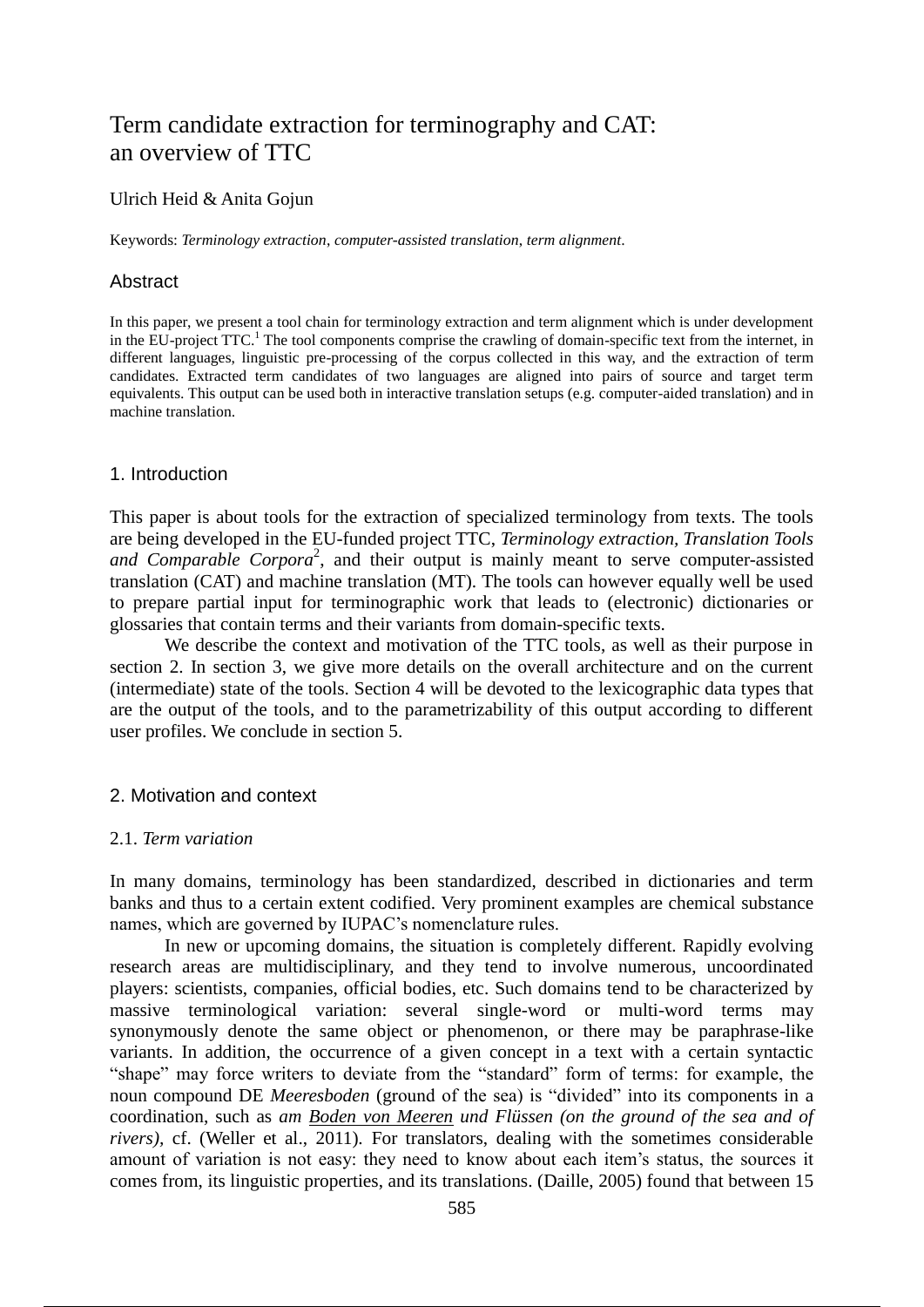## Term candidate extraction for terminography and CAT: an overview of TTC

### Ulrich Heid & Anita Gojun

Keywords: *Terminology extraction*, *computer-assisted translation*, *term alignment*.

### Abstract

In this paper, we present a tool chain for terminology extraction and term alignment which is under development in the EU-project TTC.<sup>1</sup> The tool components comprise the crawling of domain-specific text from the internet, in different languages, linguistic pre-processing of the corpus collected in this way, and the extraction of term candidates. Extracted term candidates of two languages are aligned into pairs of source and target term equivalents. This output can be used both in interactive translation setups (e.g. computer-aided translation) and in machine translation.

### 1. Introduction

This paper is about tools for the extraction of specialized terminology from texts. The tools are being developed in the EU-funded project TTC, *Terminology extraction, Translation Tools*  and Comparable Corpora<sup>2</sup>, and their output is mainly meant to serve computer-assisted translation (CAT) and machine translation (MT). The tools can however equally well be used to prepare partial input for terminographic work that leads to (electronic) dictionaries or glossaries that contain terms and their variants from domain-specific texts.

We describe the context and motivation of the TTC tools, as well as their purpose in section 2. In section 3, we give more details on the overall architecture and on the current (intermediate) state of the tools. Section 4 will be devoted to the lexicographic data types that are the output of the tools, and to the parametrizability of this output according to different user profiles. We conclude in section 5.

## 2. Motivation and context

### 2.1. *Term variation*

In many domains, terminology has been standardized, described in dictionaries and term banks and thus to a certain extent codified. Very prominent examples are chemical substance names, which are governed by IUPAC's nomenclature rules.

In new or upcoming domains, the situation is completely different. Rapidly evolving research areas are multidisciplinary, and they tend to involve numerous, uncoordinated players: scientists, companies, official bodies, etc. Such domains tend to be characterized by massive terminological variation: several single-word or multi-word terms may synonymously denote the same object or phenomenon, or there may be paraphrase-like variants. In addition, the occurrence of a given concept in a text with a certain syntactic "shape" may force writers to deviate from the "standard" form of terms: for example, the noun compound DE *Meeresboden* (ground of the sea) is "divided" into its components in a coordination, such as *am Boden von Meeren und Flüssen (on the ground of the sea and of rivers),* cf. (Weller et al., 2011)*.* For translators, dealing with the sometimes considerable amount of variation is not easy: they need to know about each item's status, the sources it comes from, its linguistic properties, and its translations. (Daille, 2005) found that between 15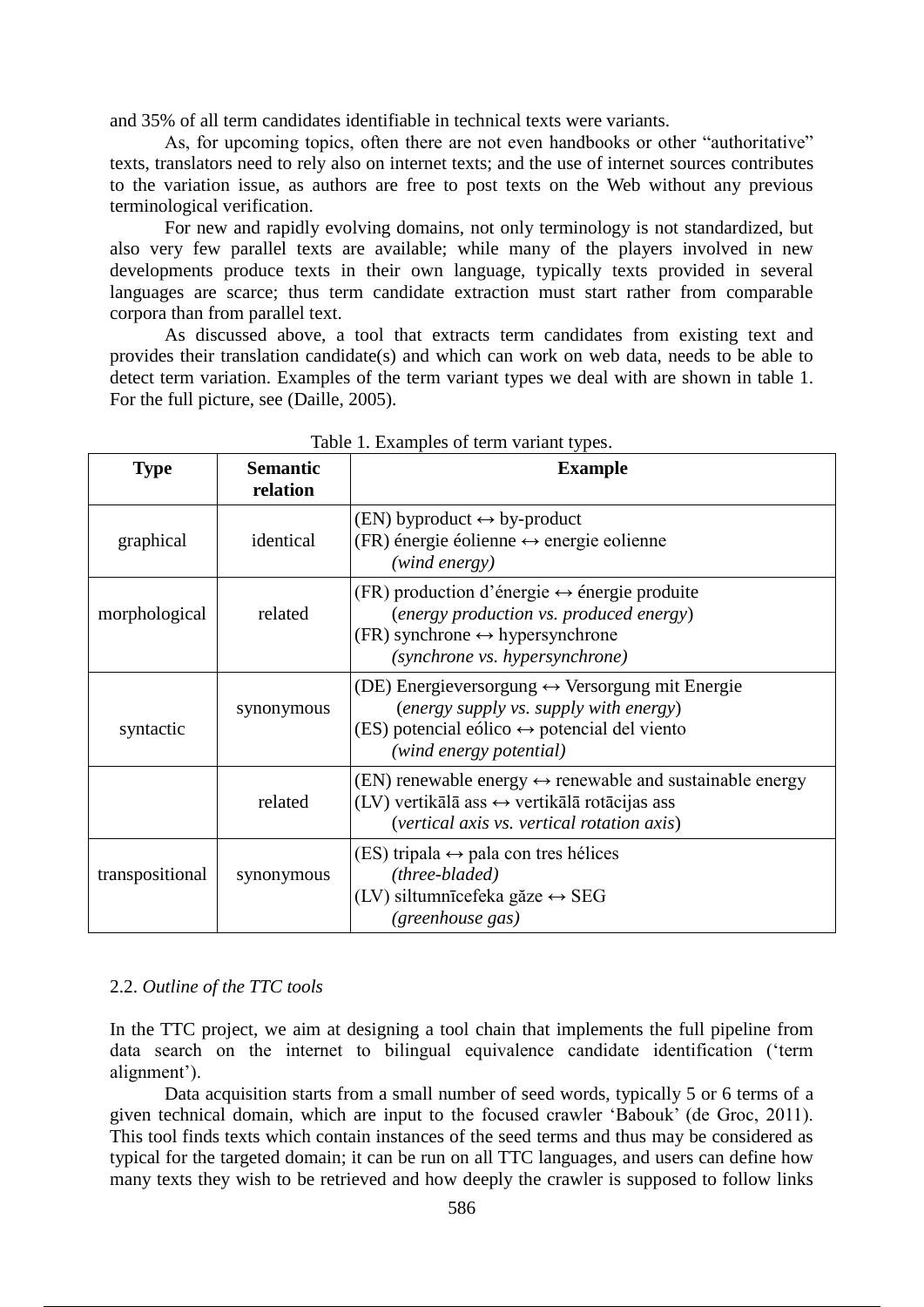and 35% of all term candidates identifiable in technical texts were variants.

As, for upcoming topics, often there are not even handbooks or other "authoritative" texts, translators need to rely also on internet texts; and the use of internet sources contributes to the variation issue, as authors are free to post texts on the Web without any previous terminological verification.

For new and rapidly evolving domains, not only terminology is not standardized, but also very few parallel texts are available; while many of the players involved in new developments produce texts in their own language, typically texts provided in several languages are scarce; thus term candidate extraction must start rather from comparable corpora than from parallel text.

As discussed above, a tool that extracts term candidates from existing text and provides their translation candidate(s) and which can work on web data, needs to be able to detect term variation. Examples of the term variant types we deal with are shown in table 1. For the full picture, see (Daille, 2005).

| <b>Type</b>     | <b>Semantic</b><br>relation | <b>Example</b>                                                                                                                                                                                         |
|-----------------|-----------------------------|--------------------------------------------------------------------------------------------------------------------------------------------------------------------------------------------------------|
| graphical       | identical                   | $(EN)$ byproduct $\leftrightarrow$ by-product<br>$(FR)$ énergie éolienne $\leftrightarrow$ energie eolienne<br>(wind energy)                                                                           |
| morphological   | related                     | $(FR)$ production d'énergie $\leftrightarrow$ énergie produite<br>(energy production vs. produced energy)<br>$(FR)$ synchrone $\leftrightarrow$ hypersynchrone<br>(synchrone vs. hypersynchrone)       |
| syntactic       | synonymous                  | (DE) Energieversorgung $\leftrightarrow$ Versorgung mit Energie<br>(energy supply vs. supply with energy)<br>$(ES)$ potencial eólico $\leftrightarrow$ potencial del viento<br>(wind energy potential) |
|                 | related                     | (EN) renewable energy $\leftrightarrow$ renewable and sustainable energy<br>$(LV)$ vertikālā ass $\leftrightarrow$ vertikālā rotācijas ass<br>(vertical axis vs. vertical rotation axis)               |
| transpositional | synonymous                  | $(ES)$ tripala $\leftrightarrow$ pala con tres hélices<br>(three-bladed)<br>(LV) siltumnīcefeka găze $\leftrightarrow$ SEG<br>(greenhouse gas)                                                         |

| Table 1. Examples of term variant types. |  |  |
|------------------------------------------|--|--|
|                                          |  |  |

### 2.2. *Outline of the TTC tools*

In the TTC project, we aim at designing a tool chain that implements the full pipeline from data search on the internet to bilingual equivalence candidate identification ('term alignment').

Data acquisition starts from a small number of seed words, typically 5 or 6 terms of a given technical domain, which are input to the focused crawler 'Babouk' (de Groc, 2011). This tool finds texts which contain instances of the seed terms and thus may be considered as typical for the targeted domain; it can be run on all TTC languages, and users can define how many texts they wish to be retrieved and how deeply the crawler is supposed to follow links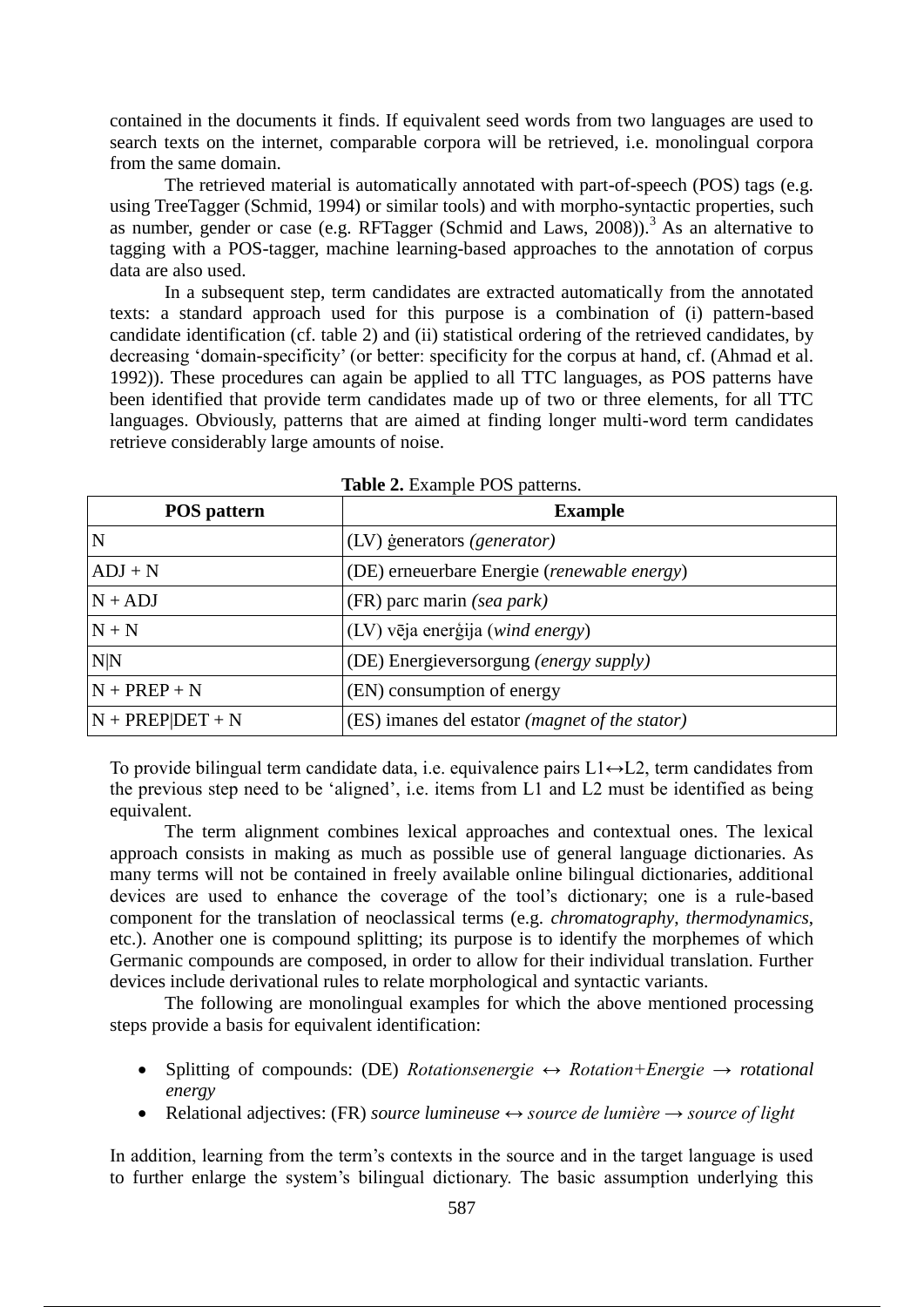contained in the documents it finds. If equivalent seed words from two languages are used to search texts on the internet, comparable corpora will be retrieved, i.e. monolingual corpora from the same domain.

The retrieved material is automatically annotated with part-of-speech (POS) tags (e.g. using TreeTagger (Schmid, 1994) or similar tools) and with morpho-syntactic properties, such as number, gender or case (e.g. RFTagger (Schmid and Laws,  $2008$ )).<sup>3</sup> As an alternative to tagging with a POS-tagger, machine learning-based approaches to the annotation of corpus data are also used.

In a subsequent step, term candidates are extracted automatically from the annotated texts: a standard approach used for this purpose is a combination of (i) pattern-based candidate identification (cf. table 2) and (ii) statistical ordering of the retrieved candidates, by decreasing 'domain-specificity' (or better: specificity for the corpus at hand, cf. (Ahmad et al. 1992)). These procedures can again be applied to all TTC languages, as POS patterns have been identified that provide term candidates made up of two or three elements, for all TTC languages. Obviously, patterns that are aimed at finding longer multi-word term candidates retrieve considerably large amounts of noise.

| <b>POS</b> pattern | <b>Example</b>                                          |
|--------------------|---------------------------------------------------------|
| N                  | (LV) generators (generator)                             |
| $ADJ + N$          | (DE) erneuerbare Energie (renewable energy)             |
| $N + ADJ$          | (FR) parc marin (sea park)                              |
| $N + N$            | (LV) vēja enerģija (wind energy)                        |
| N N                | (DE) Energieversorgung (energy supply)                  |
| $N + PREP + N$     | (EN) consumption of energy                              |
| $N + PREPIDET + N$ | (ES) imanes del estator ( <i>magnet of the stator</i> ) |

|  |  |  | Table 2. Example POS patterns. |
|--|--|--|--------------------------------|
|--|--|--|--------------------------------|

To provide bilingual term candidate data, i.e. equivalence pairs  $L1 \leftrightarrow L2$ , term candidates from the previous step need to be 'aligned', i.e. items from L1 and L2 must be identified as being equivalent.

The term alignment combines lexical approaches and contextual ones. The lexical approach consists in making as much as possible use of general language dictionaries. As many terms will not be contained in freely available online bilingual dictionaries, additional devices are used to enhance the coverage of the tool's dictionary; one is a rule-based component for the translation of neoclassical terms (e.g. *chromatography*, *thermodynamics*, etc.). Another one is compound splitting; its purpose is to identify the morphemes of which Germanic compounds are composed, in order to allow for their individual translation. Further devices include derivational rules to relate morphological and syntactic variants.

The following are monolingual examples for which the above mentioned processing steps provide a basis for equivalent identification:

- Splitting of compounds: (DE) *Rotationsenergie ↔ Rotation+Energie → rotational energy*
- Relational adjectives: (FR) *source lumineuse* ↔ *source de lumière → source of light*

In addition, learning from the term's contexts in the source and in the target language is used to further enlarge the system's bilingual dictionary. The basic assumption underlying this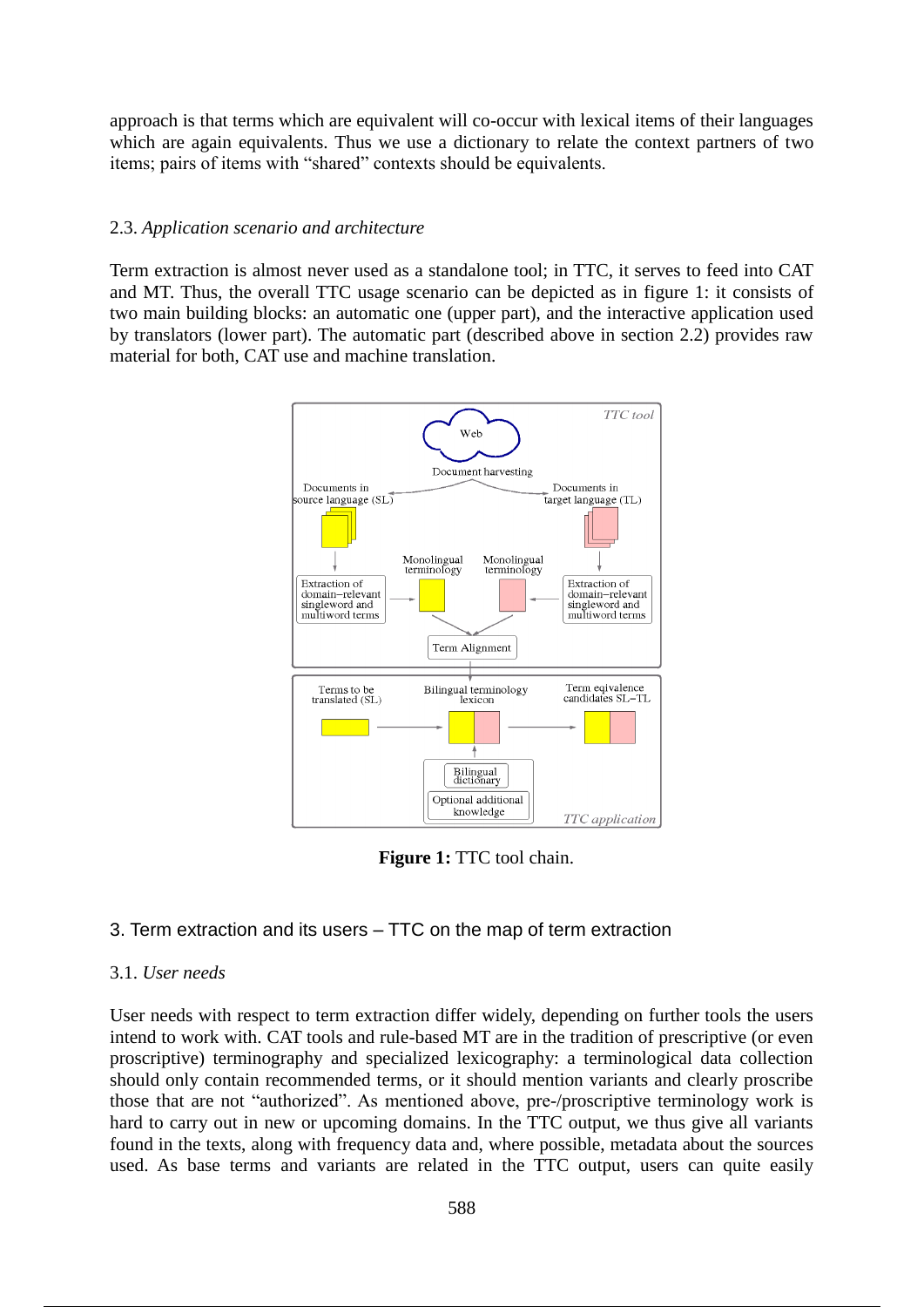approach is that terms which are equivalent will co-occur with lexical items of their languages which are again equivalents. Thus we use a dictionary to relate the context partners of two items; pairs of items with "shared" contexts should be equivalents.

## 2.3. *Application scenario and architecture*

Term extraction is almost never used as a standalone tool; in TTC, it serves to feed into CAT and MT. Thus, the overall TTC usage scenario can be depicted as in figure 1: it consists of two main building blocks: an automatic one (upper part), and the interactive application used by translators (lower part). The automatic part (described above in section 2.2) provides raw material for both, CAT use and machine translation.



**Figure 1:** TTC tool chain.

# 3. Term extraction and its users – TTC on the map of term extraction

## 3.1. *User needs*

User needs with respect to term extraction differ widely, depending on further tools the users intend to work with. CAT tools and rule-based MT are in the tradition of prescriptive (or even proscriptive) terminography and specialized lexicography: a terminological data collection should only contain recommended terms, or it should mention variants and clearly proscribe those that are not "authorized". As mentioned above, pre-/proscriptive terminology work is hard to carry out in new or upcoming domains. In the TTC output, we thus give all variants found in the texts, along with frequency data and, where possible, metadata about the sources used. As base terms and variants are related in the TTC output, users can quite easily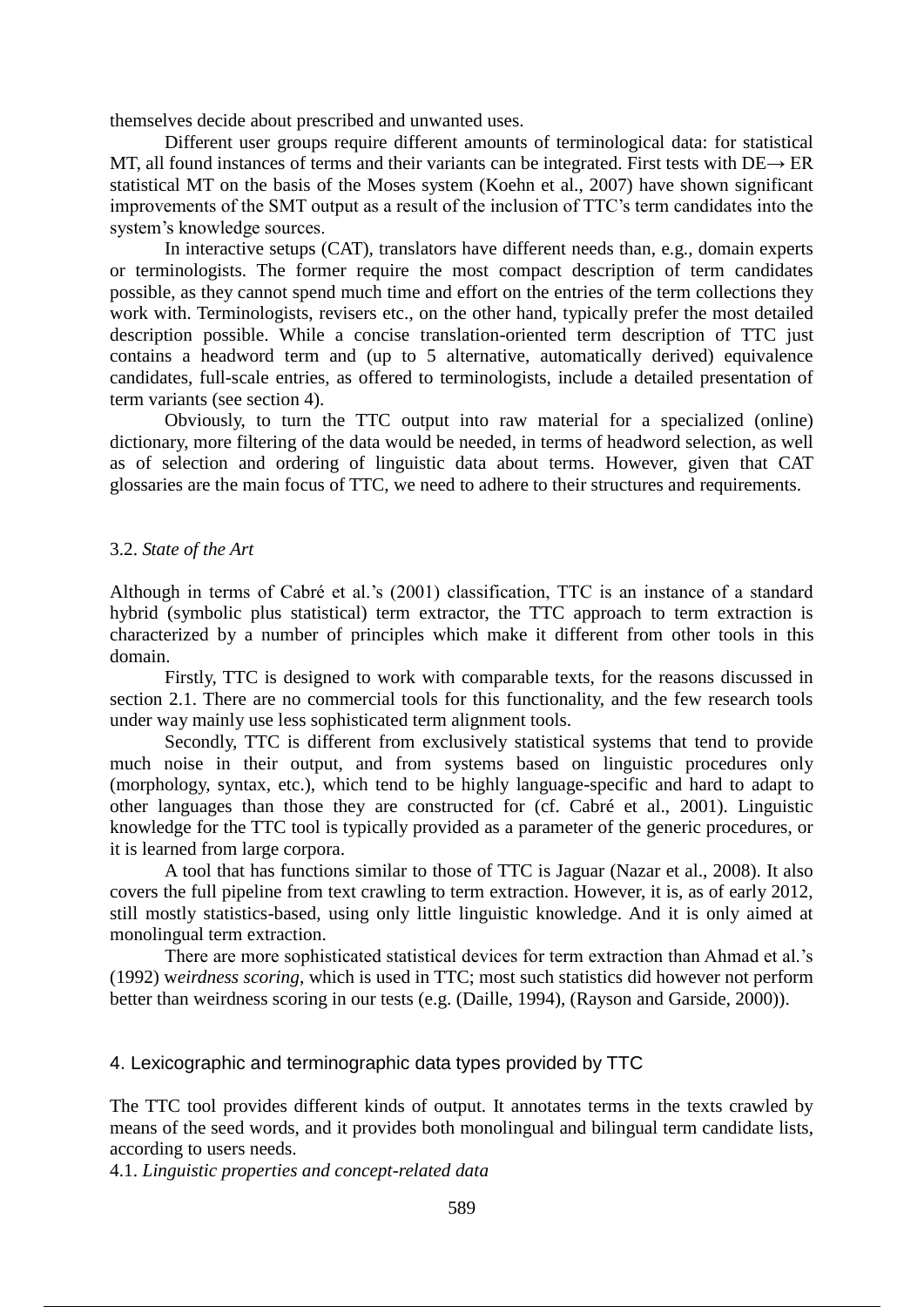themselves decide about prescribed and unwanted uses.

Different user groups require different amounts of terminological data: for statistical MT, all found instances of terms and their variants can be integrated. First tests with  $DE \rightarrow ER$ statistical MT on the basis of the Moses system (Koehn et al., 2007) have shown significant improvements of the SMT output as a result of the inclusion of TTC's term candidates into the system's knowledge sources.

In interactive setups (CAT), translators have different needs than, e.g., domain experts or terminologists. The former require the most compact description of term candidates possible, as they cannot spend much time and effort on the entries of the term collections they work with. Terminologists, revisers etc., on the other hand, typically prefer the most detailed description possible. While a concise translation-oriented term description of TTC just contains a headword term and (up to 5 alternative, automatically derived) equivalence candidates, full-scale entries, as offered to terminologists, include a detailed presentation of term variants (see section 4).

Obviously, to turn the TTC output into raw material for a specialized (online) dictionary, more filtering of the data would be needed, in terms of headword selection, as well as of selection and ordering of linguistic data about terms. However, given that CAT glossaries are the main focus of TTC, we need to adhere to their structures and requirements.

### 3.2. *State of the Art*

Although in terms of Cabré et al.'s (2001) classification, TTC is an instance of a standard hybrid (symbolic plus statistical) term extractor, the TTC approach to term extraction is characterized by a number of principles which make it different from other tools in this domain.

Firstly, TTC is designed to work with comparable texts, for the reasons discussed in section 2.1. There are no commercial tools for this functionality, and the few research tools under way mainly use less sophisticated term alignment tools.

Secondly, TTC is different from exclusively statistical systems that tend to provide much noise in their output, and from systems based on linguistic procedures only (morphology, syntax, etc.), which tend to be highly language-specific and hard to adapt to other languages than those they are constructed for (cf. Cabré et al., 2001). Linguistic knowledge for the TTC tool is typically provided as a parameter of the generic procedures, or it is learned from large corpora.

A tool that has functions similar to those of TTC is Jaguar (Nazar et al., 2008). It also covers the full pipeline from text crawling to term extraction. However, it is, as of early 2012, still mostly statistics-based, using only little linguistic knowledge. And it is only aimed at monolingual term extraction.

There are more sophisticated statistical devices for term extraction than Ahmad et al.'s (1992) w*eirdness scoring*, which is used in TTC; most such statistics did however not perform better than weirdness scoring in our tests (e.g. (Daille, 1994), (Rayson and Garside, 2000)).

4. Lexicographic and terminographic data types provided by TTC

The TTC tool provides different kinds of output. It annotates terms in the texts crawled by means of the seed words, and it provides both monolingual and bilingual term candidate lists, according to users needs.

4.1. *Linguistic properties and concept-related data*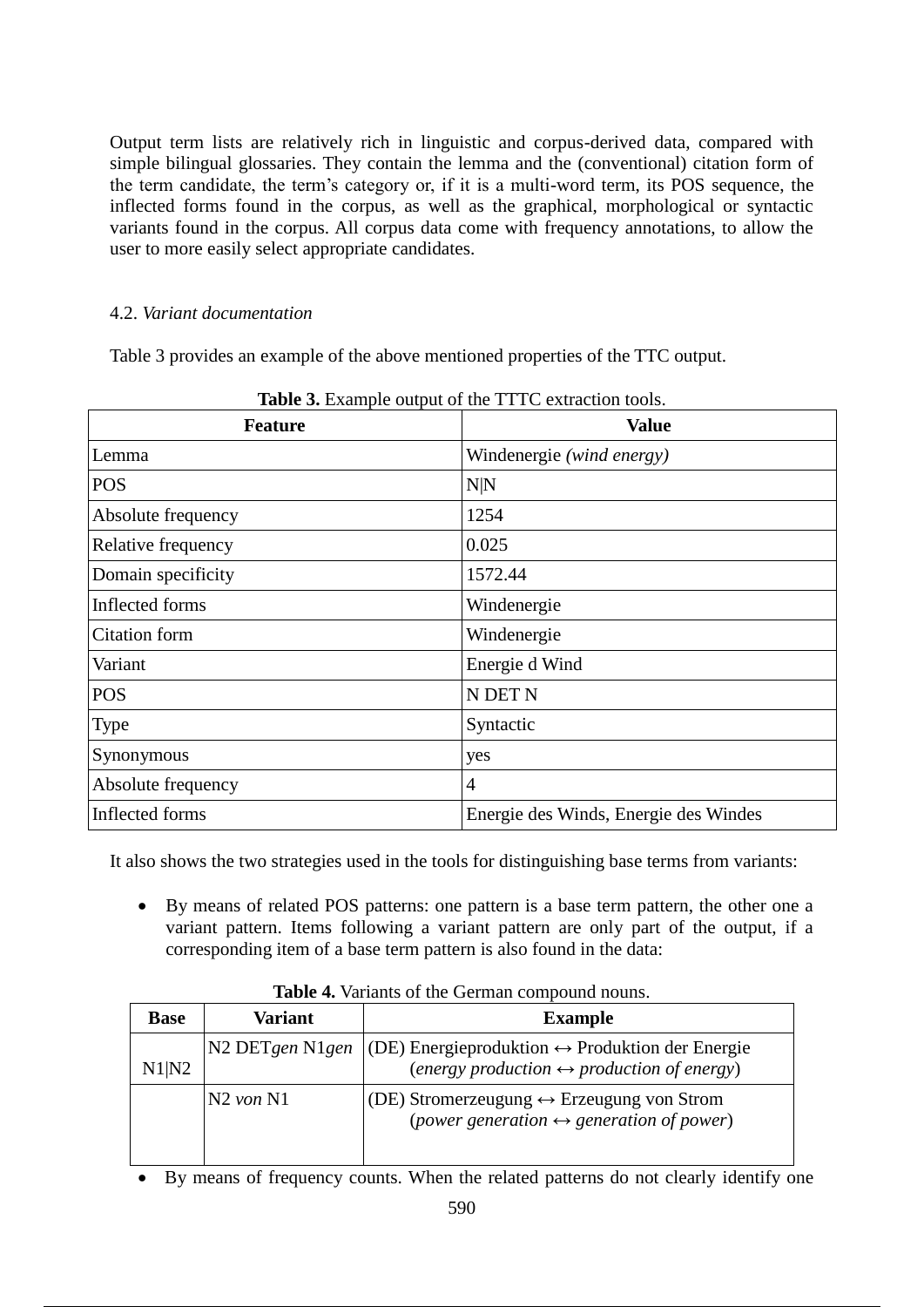Output term lists are relatively rich in linguistic and corpus-derived data, compared with simple bilingual glossaries. They contain the lemma and the (conventional) citation form of the term candidate, the term's category or, if it is a multi-word term, its POS sequence, the inflected forms found in the corpus, as well as the graphical, morphological or syntactic variants found in the corpus. All corpus data come with frequency annotations, to allow the user to more easily select appropriate candidates.

## 4.2. *Variant documentation*

Table 3 provides an example of the above mentioned properties of the TTC output.

| <b>Feature</b>     | <b>Value</b>                          |
|--------------------|---------------------------------------|
| Lemma              | Windenergie (wind energy)             |
| <b>POS</b>         | N N                                   |
| Absolute frequency | 1254                                  |
| Relative frequency | 0.025                                 |
| Domain specificity | 1572.44                               |
| Inflected forms    | Windenergie                           |
| Citation form      | Windenergie                           |
| Variant            | Energie d Wind                        |
| <b>POS</b>         | N DET N                               |
| <b>Type</b>        | Syntactic                             |
| Synonymous         | yes                                   |
| Absolute frequency | $\overline{4}$                        |
| Inflected forms    | Energie des Winds, Energie des Windes |

Table 3. Example output of the TTTC extraction tools.

It also shows the two strategies used in the tools for distinguishing base terms from variants:

 By means of related POS patterns: one pattern is a base term pattern, the other one a variant pattern. Items following a variant pattern are only part of the output, if a corresponding item of a base term pattern is also found in the data:

| <b>Base</b> | Variant       | <b>Example</b>                                                                                                                                |
|-------------|---------------|-----------------------------------------------------------------------------------------------------------------------------------------------|
| N1 N2       |               | N2 DETgen N1gen (DE) Energieproduktion $\leftrightarrow$ Produktion der Energie<br>(energy production $\leftrightarrow$ production of energy) |
|             | $N2$ von $N1$ | (DE) Stromerzeugung $\leftrightarrow$ Erzeugung von Strom<br>(power generation $\leftrightarrow$ generation of power)                         |

**Table 4.** Variants of the German compound nouns.

By means of frequency counts. When the related patterns do not clearly identify one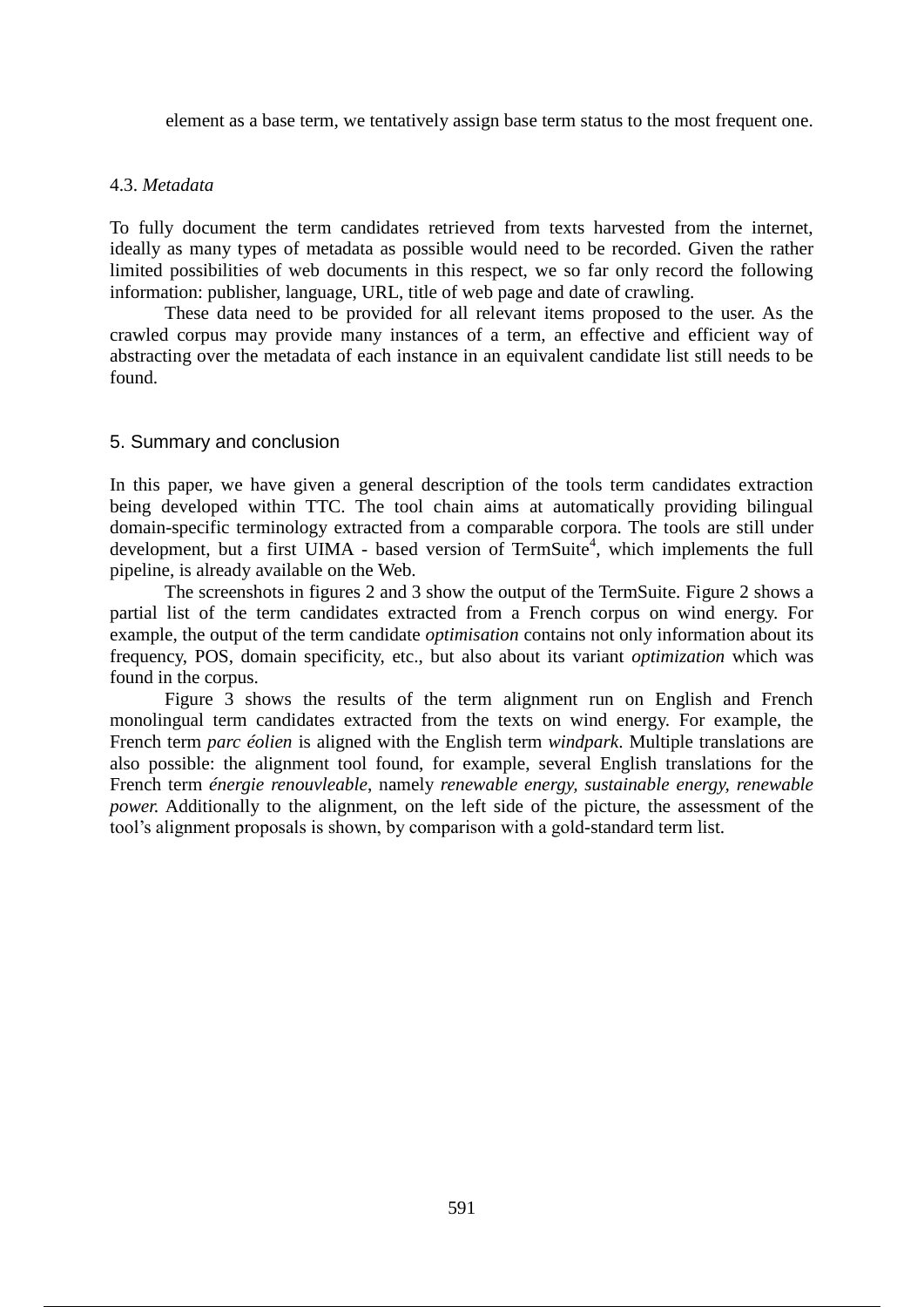element as a base term, we tentatively assign base term status to the most frequent one.

### 4.3. *Metadata*

To fully document the term candidates retrieved from texts harvested from the internet, ideally as many types of metadata as possible would need to be recorded. Given the rather limited possibilities of web documents in this respect, we so far only record the following information: publisher, language, URL, title of web page and date of crawling.

These data need to be provided for all relevant items proposed to the user. As the crawled corpus may provide many instances of a term, an effective and efficient way of abstracting over the metadata of each instance in an equivalent candidate list still needs to be found.

### 5. Summary and conclusion

In this paper, we have given a general description of the tools term candidates extraction being developed within TTC. The tool chain aims at automatically providing bilingual domain-specific terminology extracted from a comparable corpora. The tools are still under development, but a first UIMA - based version of TermSuite<sup>4</sup>, which implements the full pipeline, is already available on the Web.

The screenshots in figures 2 and 3 show the output of the TermSuite. Figure 2 shows a partial list of the term candidates extracted from a French corpus on wind energy. For example, the output of the term candidate *optimisation* contains not only information about its frequency, POS, domain specificity, etc., but also about its variant *optimization* which was found in the corpus.

Figure 3 shows the results of the term alignment run on English and French monolingual term candidates extracted from the texts on wind energy. For example, the French term *parc éolien* is aligned with the English term *windpark*. Multiple translations are also possible: the alignment tool found, for example, several English translations for the French term *énergie renouvleable*, namely *renewable energy, sustainable energy, renewable power.* Additionally to the alignment, on the left side of the picture, the assessment of the tool's alignment proposals is shown, by comparison with a gold-standard term list.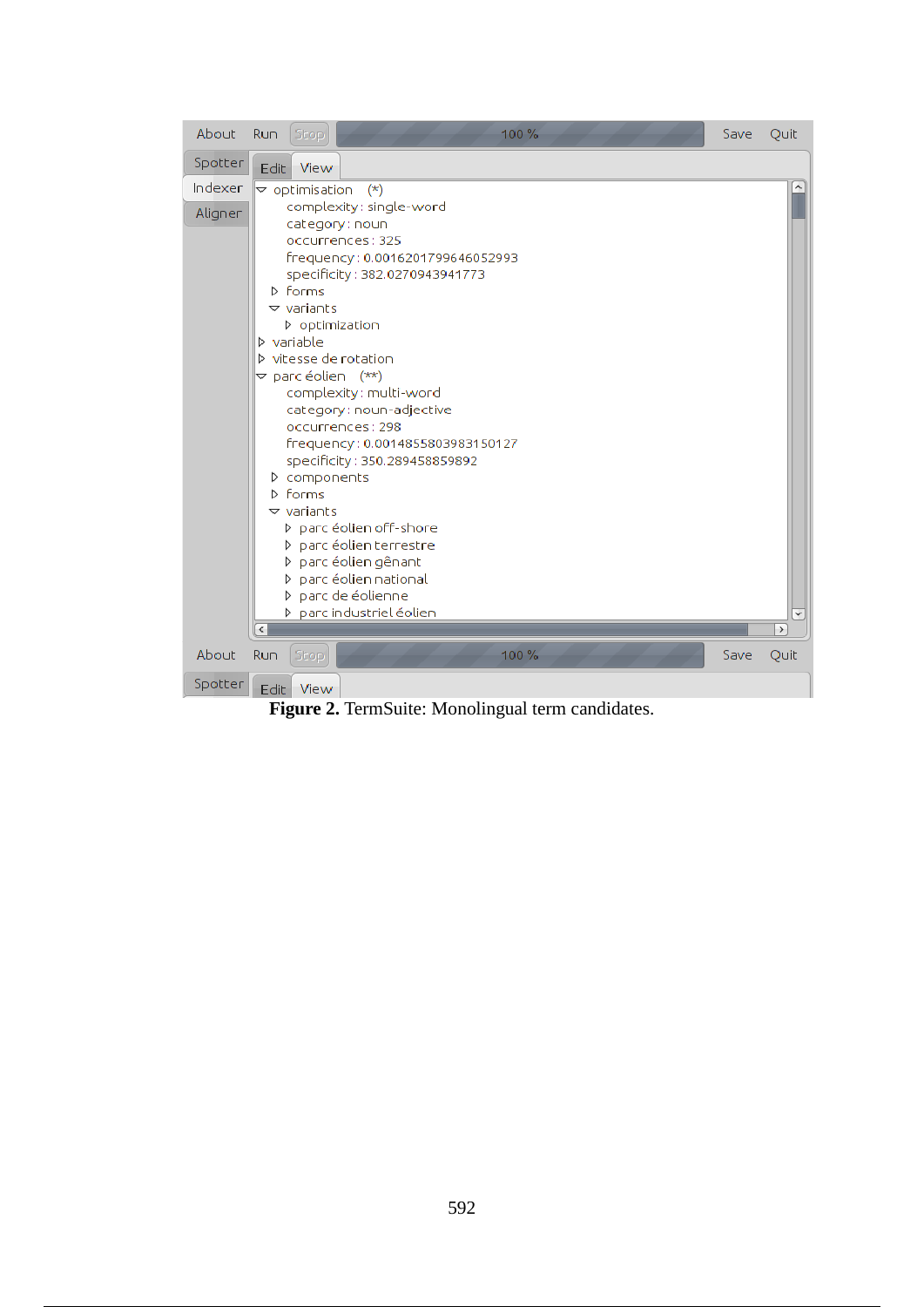| About              | Run                      | Stop                                                                                                                                                                                                                                               | 100%                                                                                                                                                                                                                                                                                                                                                                                                                                                                                    | Save | Quit          |
|--------------------|--------------------------|----------------------------------------------------------------------------------------------------------------------------------------------------------------------------------------------------------------------------------------------------|-----------------------------------------------------------------------------------------------------------------------------------------------------------------------------------------------------------------------------------------------------------------------------------------------------------------------------------------------------------------------------------------------------------------------------------------------------------------------------------------|------|---------------|
| Spotter            | Edit                     | View                                                                                                                                                                                                                                               |                                                                                                                                                                                                                                                                                                                                                                                                                                                                                         |      |               |
| Indexer<br>Aligner | $\overline{\phantom{a}}$ | $\sim$ optimisation<br>$\triangleright$ Forms<br>$\triangledown$ variants<br><b>D</b> optimization<br>$\triangleright$ variable<br>$\triangledown$ parc éolien $(**)$<br><b>D</b> components<br>$\triangleright$ forms<br>$\triangledown$ variants | $(\star)$<br>complexity: single-word<br>category: noun<br>occurrences: 325<br>frequency: 0.0016201799646052993<br>specificity: 382.0270943941773<br><b>D</b> vitesse de rotation<br>complexity: multi-word<br>category: noun-adjective<br>occurrences: 298<br>frequency: 0.0014855803983150127<br>specificity: 350.289458859892<br>> parc éolien off-shore<br>▷ parc éolien terrestre<br>> parc éolien gênant<br>> parc éolien national<br>parc de éolienne<br>> parc industriel éolien |      | $\rightarrow$ |
| About<br>Spotter   | Run<br>Edit              | Stop<br>View                                                                                                                                                                                                                                       | 100%                                                                                                                                                                                                                                                                                                                                                                                                                                                                                    | Save | Quit          |

**Figure 2.** TermSuite: Monolingual term candidates.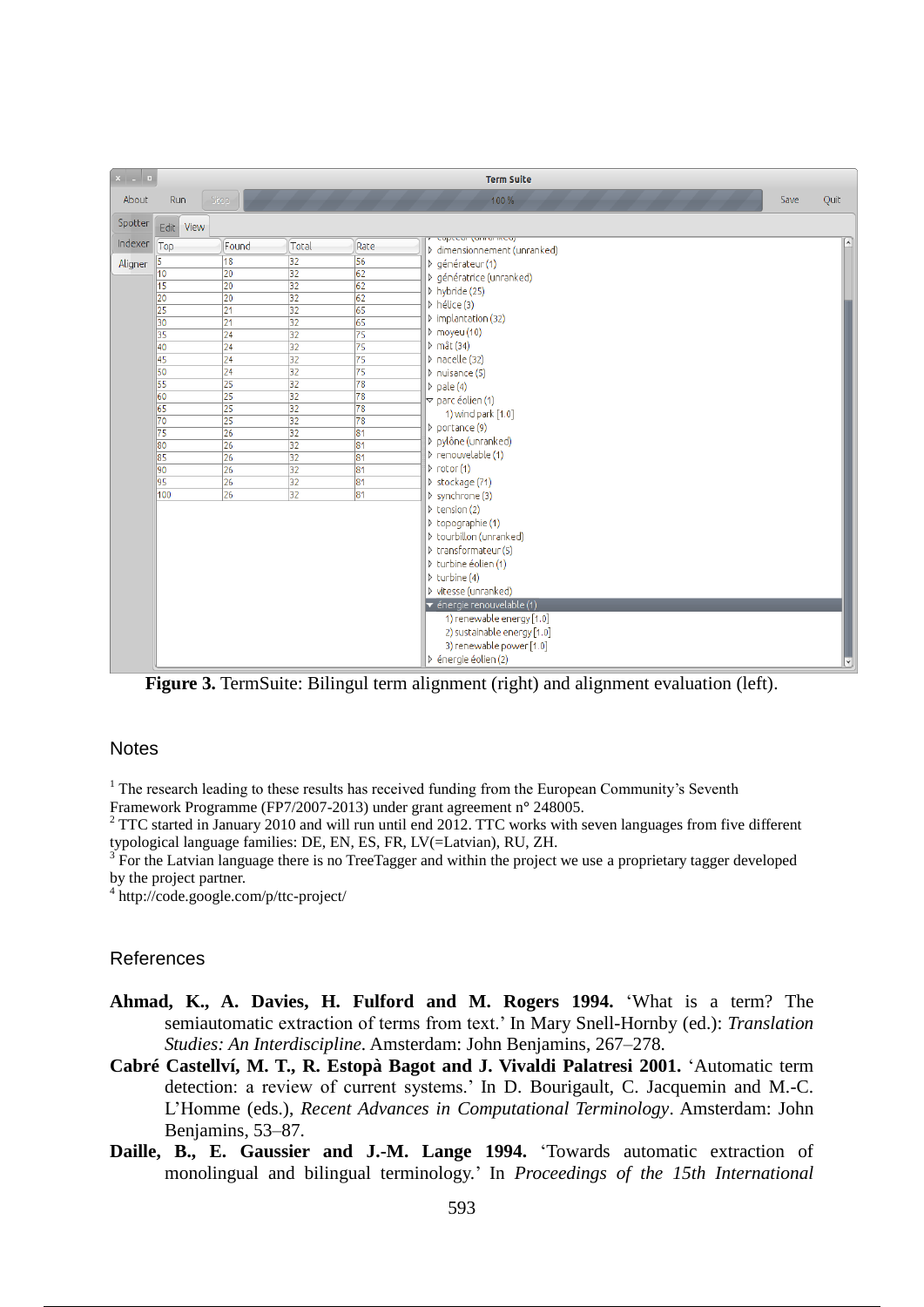| $x$ . $x$ |           |                 |          |          | <b>Term Suite</b>                                  |      |      |
|-----------|-----------|-----------------|----------|----------|----------------------------------------------------|------|------|
| About     | Run       | Stop            |          |          | 100%                                               | Save | Quit |
| Spotter   | Edit View |                 |          |          |                                                    |      |      |
| Indexer   | Top       | Found           | Total    | Rate     | copecar (annonnea)<br>D dimensionnement (unranked) |      |      |
| Aligner   | 5         | 18              | 32       | 56       | > générateur (1)                                   |      |      |
|           | 10        | 20              | 32       | 62       | ▷ génératrice (unranked)                           |      |      |
|           | 15        | 20              | 32       | 62       | $\triangleright$ hybride (25)                      |      |      |
|           | 20        | 20              | 32       | 62       | $\triangleright$ hélice (3)                        |      |      |
|           | 25        | 21              | 32       | 65       | $\triangleright$ implantation (32)                 |      |      |
|           | 30        | 21              | 32       | 65       |                                                    |      |      |
|           | 35        | 24              | 32       | 75       | $\rangle$ moyeu (10)                               |      |      |
|           | 40        | $\overline{24}$ | 32       | 75       | $\triangleright$ mât (34)                          |      |      |
|           | 45        | 24              | 32       | 75       | $\triangleright$ nacelle (32)                      |      |      |
|           | 50        | 24              | 32       | 75       | $\triangleright$ nuisance (5)                      |      |      |
|           | 55        | 25              | 32       | 78       | $\triangleright$ pale (4)                          |      |      |
|           | 60        | 25              | 32       | 78       | $\triangledown$ parc éolien (1)                    |      |      |
|           | 65        | 25              | 32       | 78       | 1) wind park [1.0]                                 |      |      |
|           | 70        | 25              | 32       | 78       | $\triangleright$ portance (9)                      |      |      |
|           | 75        | 26              | 32       | 81       | p pylône (unranked)                                |      |      |
|           | 80<br>85  | 26<br>26        | 32<br>32 | 81       | P renouvelable (1)                                 |      |      |
|           | 90        | 26              | 32       | 81<br>81 | $\triangleright$ rotor (1)                         |      |      |
|           | 95        | 26              | 32       | 81       | > stockage (71)                                    |      |      |
|           | 100       | 26              | 32       | 81       | $\triangleright$ synchrone (3)                     |      |      |
|           |           |                 |          |          |                                                    |      |      |
|           |           |                 |          |          | $\triangleright$ tension (2)                       |      |      |
|           |           |                 |          |          | D topographie (1)                                  |      |      |
|           |           |                 |          |          | D tourbillon (unranked)                            |      |      |
|           |           |                 |          |          | D transformateur (5)                               |      |      |
|           |           |                 |          |          | D turbine éolien (1)                               |      |      |
|           |           |                 |          |          | $\triangleright$ turbine (4)                       |      |      |
|           |           |                 |          |          | D vitesse (unranked)                               |      |      |
|           |           |                 |          |          | $\blacktriangleright$ énergie renouvelable (1)     |      |      |
|           |           |                 |          |          | 1) renewable energy [1.0]                          |      |      |
|           |           |                 |          |          | 2) sustainable energy [1.0]                        |      |      |
|           |           |                 |          |          | 3) renewable power [1.0]                           |      |      |
|           |           |                 |          |          | > énergie éolien (2)                               |      |      |
|           |           |                 |          |          |                                                    |      |      |

**Figure 3.** TermSuite: Bilingul term alignment (right) and alignment evaluation (left).

### **Notes**

<sup>1</sup> The research leading to these results has received funding from the European Community's Seventh

Framework Programme (FP7/2007-2013) under grant agreement n**°** 248005.

 $2$  TTC started in January 2010 and will run until end 2012. TTC works with seven languages from five different typological language families: DE, EN, ES, FR, LV(=Latvian), RU, ZH.

<sup>3</sup> For the Latvian language there is no TreeTagger and within the project we use a proprietary tagger developed by the project partner.

4 http://code.google.com/p/ttc-project/

### References

- **Ahmad, K., A. Davies, H. Fulford and M. Rogers 1994.** 'What is a term? The semiautomatic extraction of terms from text.' In Mary Snell-Hornby (ed.): *Translation Studies: An Interdiscipline.* Amsterdam: John Benjamins, 267–278.
- **Cabré Castellví, M. T., R. Estopà Bagot and J. Vivaldi Palatresi 2001.** 'Automatic term detection: a review of current systems.' In D. Bourigault, C. Jacquemin and M.-C. L'Homme (eds.), *Recent Advances in Computational Terminology*. Amsterdam: John Benjamins, 53–87.
- **Daille, B., E. Gaussier and J.-M. Lange 1994.** 'Towards automatic extraction of monolingual and bilingual terminology.' In *Proceedings of the 15th International*